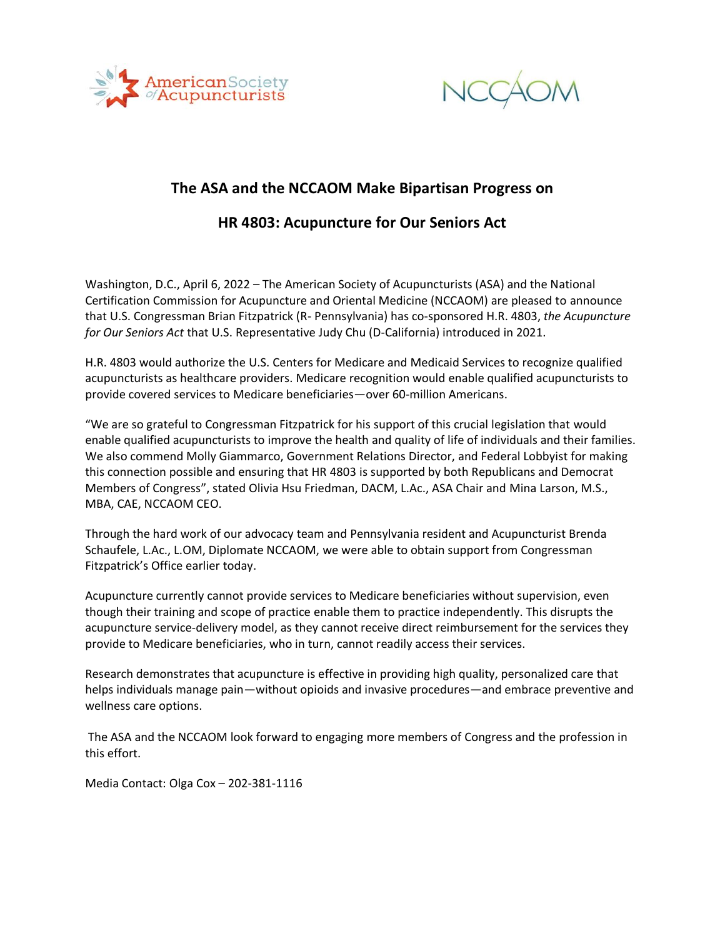



## **The ASA and the NCCAOM Make Bipartisan Progress on**

## **HR 4803: Acupuncture for Our Seniors Act**

Washington, D.C., April 6, 2022 – The American Society of Acupuncturists (ASA) and the National Certification Commission for Acupuncture and Oriental Medicine (NCCAOM) are pleased to announce that U.S. Congressman Brian Fitzpatrick (R- Pennsylvania) has co-sponsored H.R. 4803, *the Acupuncture for Our Seniors Act* that U.S. Representative Judy Chu (D-California) introduced in 2021.

H.R. 4803 would authorize the U.S. Centers for Medicare and Medicaid Services to recognize qualified acupuncturists as healthcare providers. Medicare recognition would enable qualified acupuncturists to provide covered services to Medicare beneficiaries—over 60-million Americans.

"We are so grateful to Congressman Fitzpatrick for his support of this crucial legislation that would enable qualified acupuncturists to improve the health and quality of life of individuals and their families. We also commend Molly Giammarco, Government Relations Director, and Federal Lobbyist for making this connection possible and ensuring that HR 4803 is supported by both Republicans and Democrat Members of Congress", stated Olivia Hsu Friedman, DACM, L.Ac., ASA Chair and Mina Larson, M.S., MBA, CAE, NCCAOM CEO.

Through the hard work of our advocacy team and Pennsylvania resident and Acupuncturist Brenda Schaufele, L.Ac., L.OM, Diplomate NCCAOM, we were able to obtain support from Congressman Fitzpatrick's Office earlier today.

Acupuncture currently cannot provide services to Medicare beneficiaries without supervision, even though their training and scope of practice enable them to practice independently. This disrupts the acupuncture service-delivery model, as they cannot receive direct reimbursement for the services they provide to Medicare beneficiaries, who in turn, cannot readily access their services.

Research demonstrates that acupuncture is effective in providing high quality, personalized care that helps individuals manage pain—without opioids and invasive procedures—and embrace preventive and wellness care options.

The ASA and the NCCAOM look forward to engaging more members of Congress and the profession in this effort.

Media Contact: Olga Cox – 202-381-1116